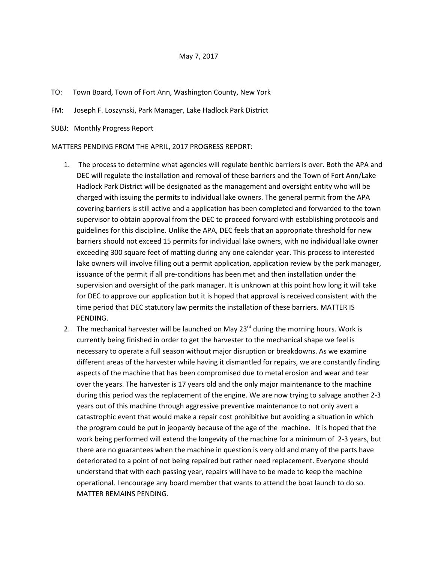## May 7, 2017

## TO: Town Board, Town of Fort Ann, Washington County, New York

FM: Joseph F. Loszynski, Park Manager, Lake Hadlock Park District

SUBJ: Monthly Progress Report

MATTERS PENDING FROM THE APRIL, 2017 PROGRESS REPORT:

- 1. The process to determine what agencies will regulate benthic barriers is over. Both the APA and DEC will regulate the installation and removal of these barriers and the Town of Fort Ann/Lake Hadlock Park District will be designated as the management and oversight entity who will be charged with issuing the permits to individual lake owners. The general permit from the APA covering barriers is still active and a application has been completed and forwarded to the town supervisor to obtain approval from the DEC to proceed forward with establishing protocols and guidelines for this discipline. Unlike the APA, DEC feels that an appropriate threshold for new barriers should not exceed 15 permits for individual lake owners, with no individual lake owner exceeding 300 square feet of matting during any one calendar year. This process to interested lake owners will involve filling out a permit application, application review by the park manager, issuance of the permit if all pre-conditions has been met and then installation under the supervision and oversight of the park manager. It is unknown at this point how long it will take for DEC to approve our application but it is hoped that approval is received consistent with the time period that DEC statutory law permits the installation of these barriers. MATTER IS PENDING.
- 2. The mechanical harvester will be launched on May 23<sup>rd</sup> during the morning hours. Work is currently being finished in order to get the harvester to the mechanical shape we feel is necessary to operate a full season without major disruption or breakdowns. As we examine different areas of the harvester while having it dismantled for repairs, we are constantly finding aspects of the machine that has been compromised due to metal erosion and wear and tear over the years. The harvester is 17 years old and the only major maintenance to the machine during this period was the replacement of the engine. We are now trying to salvage another 2-3 years out of this machine through aggressive preventive maintenance to not only avert a catastrophic event that would make a repair cost prohibitive but avoiding a situation in which the program could be put in jeopardy because of the age of the machine. It is hoped that the work being performed will extend the longevity of the machine for a minimum of 2-3 years, but there are no guarantees when the machine in question is very old and many of the parts have deteriorated to a point of not being repaired but rather need replacement. Everyone should understand that with each passing year, repairs will have to be made to keep the machine operational. I encourage any board member that wants to attend the boat launch to do so. MATTER REMAINS PENDING.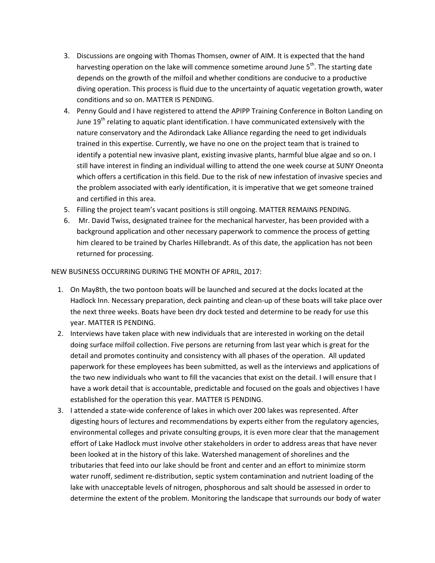- 3. Discussions are ongoing with Thomas Thomsen, owner of AIM. It is expected that the hand harvesting operation on the lake will commence sometime around June 5<sup>th</sup>. The starting date depends on the growth of the milfoil and whether conditions are conducive to a productive diving operation. This process is fluid due to the uncertainty of aquatic vegetation growth, water conditions and so on. MATTER IS PENDING.
- 4. Penny Gould and I have registered to attend the APIPP Training Conference in Bolton Landing on June 19<sup>th</sup> relating to aquatic plant identification. I have communicated extensively with the nature conservatory and the Adirondack Lake Alliance regarding the need to get individuals trained in this expertise. Currently, we have no one on the project team that is trained to identify a potential new invasive plant, existing invasive plants, harmful blue algae and so on. I still have interest in finding an individual willing to attend the one week course at SUNY Oneonta which offers a certification in this field. Due to the risk of new infestation of invasive species and the problem associated with early identification, it is imperative that we get someone trained and certified in this area.
- 5. Filling the project team's vacant positions is still ongoing. MATTER REMAINS PENDING.
- 6. Mr. David Twiss, designated trainee for the mechanical harvester, has been provided with a background application and other necessary paperwork to commence the process of getting him cleared to be trained by Charles Hillebrandt. As of this date, the application has not been returned for processing.

## NEW BUSINESS OCCURRING DURING THE MONTH OF APRIL, 2017:

- 1. On May8th, the two pontoon boats will be launched and secured at the docks located at the Hadlock Inn. Necessary preparation, deck painting and clean-up of these boats will take place over the next three weeks. Boats have been dry dock tested and determine to be ready for use this year. MATTER IS PENDING.
- 2. Interviews have taken place with new individuals that are interested in working on the detail doing surface milfoil collection. Five persons are returning from last year which is great for the detail and promotes continuity and consistency with all phases of the operation. All updated paperwork for these employees has been submitted, as well as the interviews and applications of the two new individuals who want to fill the vacancies that exist on the detail. I will ensure that I have a work detail that is accountable, predictable and focused on the goals and objectives I have established for the operation this year. MATTER IS PENDING.
- 3. I attended a state-wide conference of lakes in which over 200 lakes was represented. After digesting hours of lectures and recommendations by experts either from the regulatory agencies, environmental colleges and private consulting groups, it is even more clear that the management effort of Lake Hadlock must involve other stakeholders in order to address areas that have never been looked at in the history of this lake. Watershed management of shorelines and the tributaries that feed into our lake should be front and center and an effort to minimize storm water runoff, sediment re-distribution, septic system contamination and nutrient loading of the lake with unacceptable levels of nitrogen, phosphorous and salt should be assessed in order to determine the extent of the problem. Monitoring the landscape that surrounds our body of water